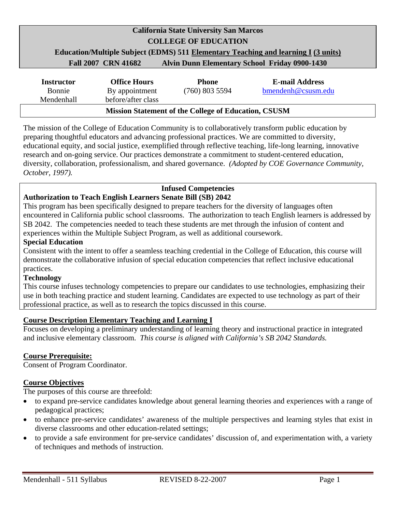## **California State University San Marcos COLLEGE OF EDUCATION Education/Multiple Subject (EDMS) 511 Elementary Teaching and learning I (3 units) Fall 2007 CRN 41682 Alvin Dunn Elementary School Friday 0900-1430**

| <b>Instructor</b> | <b>Office Hours</b> | <b>Phone</b>                                                | <b>E-mail Address</b> |
|-------------------|---------------------|-------------------------------------------------------------|-----------------------|
| Bonnie            | By appointment      | $(760)$ 803 5594                                            | bmendenh@csusm.edu    |
| Mendenhall        | before/after class  |                                                             |                       |
|                   |                     | <b>Mission Statement of the College of Education, CSUSM</b> |                       |

The mission of the College of Education Community is to collaboratively transform public education by preparing thoughtful educators and advancing professional practices. We are committed to diversity, educational equity, and social justice, exemplified through reflective teaching, life-long learning, innovative research and on-going service. Our practices demonstrate a commitment to student-centered education, diversity, collaboration, professionalism, and shared governance. *(Adopted by COE Governance Community, October, 1997).* 

## **Infused Competencies**

## **Authorization to Teach English Learners Senate Bill (SB) 2042**

This program has been specifically designed to prepare teachers for the diversity of languages often encountered in California public school classrooms. The authorization to teach English learners is addressed by SB 2042. The competencies needed to teach these students are met through the infusion of content and experiences within the Multiple Subject Program, as well as additional coursework.

#### **Special Education**

Consistent with the intent to offer a seamless teaching credential in the College of Education, this course will demonstrate the collaborative infusion of special education competencies that reflect inclusive educational practices.

## **Technology**

This course infuses technology competencies to prepare our candidates to use technologies, emphasizing their use in both teaching practice and student learning. Candidates are expected to use technology as part of their professional practice, as well as to research the topics discussed in this course.

### **Course Description Elementary Teaching and Learning I**

Focuses on developing a preliminary understanding of learning theory and instructional practice in integrated and inclusive elementary classroom. *This course is aligned with California's SB 2042 Standards.* 

#### **Course Prerequisite:**

Consent of Program Coordinator.

### **Course Objectives**

The purposes of this course are threefold:

- to expand pre-service candidates knowledge about general learning theories and experiences with a range of pedagogical practices;
- to enhance pre-service candidates' awareness of the multiple perspectives and learning styles that exist in diverse classrooms and other education-related settings;
- to provide a safe environment for pre-service candidates' discussion of, and experimentation with, a variety of techniques and methods of instruction.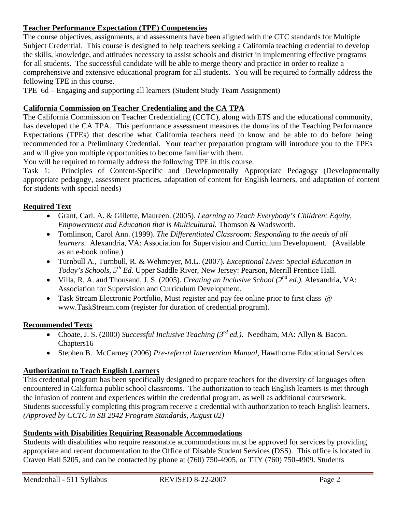## **Teacher Performance Expectation (TPE) Competencies**

The course objectives, assignments, and assessments have been aligned with the CTC standards for Multiple Subject Credential. This course is designed to help teachers seeking a California teaching credential to develop the skills, knowledge, and attitudes necessary to assist schools and district in implementing effective programs for all students. The successful candidate will be able to merge theory and practice in order to realize a comprehensive and extensive educational program for all students. You will be required to formally address the following TPE in this course.

TPE 6d – Engaging and supporting all learners (Student Study Team Assignment)

## **California Commission on Teacher Credentialing and the CA TPA**

The California Commission on Teacher Credentialing (CCTC), along with ETS and the educational community, has developed the CA TPA. This performance assessment measures the domains of the Teaching Performance Expectations (TPEs) that describe what California teachers need to know and be able to do before being recommended for a Preliminary Credential. Your teacher preparation program will introduce you to the TPEs and will give you multiple opportunities to become familiar with them.

You will be required to formally address the following TPE in this course.

Task 1: Principles of Content-Specific and Developmentally Appropriate Pedagogy (Developmentally appropriate pedagogy, assessment practices, adaptation of content for English learners, and adaptation of content for students with special needs)

## **Required Text**

- Grant, Carl. A. & Gillette, Maureen. (2005). *Learning to Teach Everybody's Children: Equity, Empowerment and Education that is Multicultural.* Thomson & Wadsworth.
- Tomlinson, Carol Ann. (1999). *The Differentiated Classroom: Responding to the needs of all learners.* Alexandria, VA: Association for Supervision and Curriculum Development. (Available as an e-book online.)
- Turnbull A., Turnbull, R. & Wehmeyer, M.L. (2007). *Exceptional Lives: Special Education in Today's Schools, 5th Ed*. Upper Saddle River, New Jersey: Pearson, Merrill Prentice Hall.
- Villa, R. A. and Thousand, J. S. (2005). *Creating an Inclusive School (2nd ed.).* Alexandria, VA: Association for Supervision and Curriculum Development.
- Task Stream Electronic Portfolio, Must register and pay fee online prior to first class @ www.TaskStream.com (register for duration of credential program).

## **Recommended Texts**

- Choate, J. S. (2000) *Successful Inclusive Teaching (3rd ed.).* Needham, MA: Allyn & Bacon. Chapters16
- Stephen B. McCarney (2006) *Pre-referral Intervention Manual,* Hawthorne Educational Services

## **Authorization to Teach English Learners**

This credential program has been specifically designed to prepare teachers for the diversity of languages often encountered in California public school classrooms. The authorization to teach English learners is met through the infusion of content and experiences within the credential program, as well as additional coursework. Students successfully completing this program receive a credential with authorization to teach English learners. *(Approved by CCTC in SB 2042 Program Standards, August 02)* 

## **Students with Disabilities Requiring Reasonable Accommodations**

Students with disabilities who require reasonable accommodations must be approved for services by providing appropriate and recent documentation to the Office of Disable Student Services (DSS). This office is located in Craven Hall 5205, and can be contacted by phone at (760) 750-4905, or TTY (760) 750-4909. Students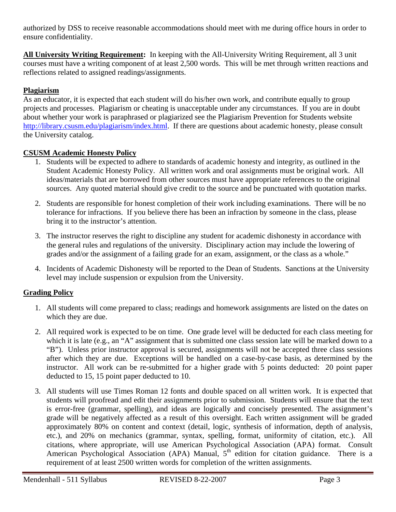authorized by DSS to receive reasonable accommodations should meet with me during office hours in order to ensure confidentiality.

**All University Writing Requirement:** In keeping with the All-University Writing Requirement, all 3 unit courses must have a writing component of at least 2,500 words. This will be met through written reactions and reflections related to assigned readings/assignments.

## **Plagiarism**

As an educator, it is expected that each student will do his/her own work, and contribute equally to group projects and processes. Plagiarism or cheating is unacceptable under any circumstances. If you are in doubt about whether your work is paraphrased or plagiarized see the Plagiarism Prevention for Students website http://library.csusm.edu/plagiarism/index.html. If there are questions about academic honesty, please consult the University catalog.

## **CSUSM Academic Honesty Policy**

- 1. Students will be expected to adhere to standards of academic honesty and integrity, as outlined in the Student Academic Honesty Policy. All written work and oral assignments must be original work. All ideas/materials that are borrowed from other sources must have appropriate references to the original sources. Any quoted material should give credit to the source and be punctuated with quotation marks.
- 2. Students are responsible for honest completion of their work including examinations. There will be no tolerance for infractions. If you believe there has been an infraction by someone in the class, please bring it to the instructor's attention.
- 3. The instructor reserves the right to discipline any student for academic dishonesty in accordance with the general rules and regulations of the university. Disciplinary action may include the lowering of grades and/or the assignment of a failing grade for an exam, assignment, or the class as a whole."
- 4. Incidents of Academic Dishonesty will be reported to the Dean of Students. Sanctions at the University level may include suspension or expulsion from the University.

## **Grading Policy**

- 1. All students will come prepared to class; readings and homework assignments are listed on the dates on which they are due.
- 2. All required work is expected to be on time. One grade level will be deducted for each class meeting for which it is late (e.g., an "A" assignment that is submitted one class session late will be marked down to a "B"). Unless prior instructor approval is secured, assignments will not be accepted three class sessions after which they are due. Exceptions will be handled on a case-by-case basis, as determined by the instructor. All work can be re-submitted for a higher grade with 5 points deducted: 20 point paper deducted to 15, 15 point paper deducted to 10.
- 3. All students will use Times Roman 12 fonts and double spaced on all written work. It is expected that students will proofread and edit their assignments prior to submission. Students will ensure that the text is error-free (grammar, spelling), and ideas are logically and concisely presented. The assignment's grade will be negatively affected as a result of this oversight. Each written assignment will be graded approximately 80% on content and context (detail, logic, synthesis of information, depth of analysis, etc.), and 20% on mechanics (grammar, syntax, spelling, format, uniformity of citation, etc.). All citations, where appropriate, will use American Psychological Association (APA) format. Consult American Psychological Association (APA) Manual, 5<sup>th</sup> edition for citation guidance. There is a requirement of at least 2500 written words for completion of the written assignments.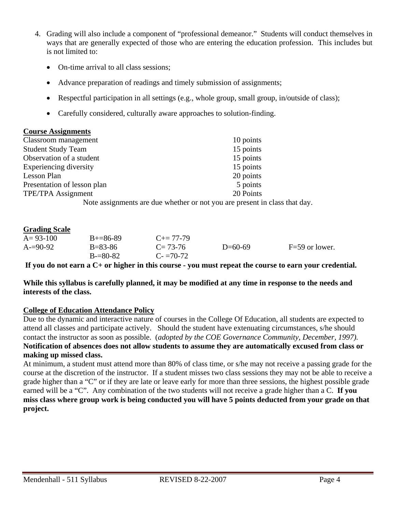- 4. Grading will also include a component of "professional demeanor." Students will conduct themselves in ways that are generally expected of those who are entering the education profession. This includes but is not limited to:
	- On-time arrival to all class sessions;
	- Advance preparation of readings and timely submission of assignments;
	- Respectful participation in all settings (e.g., whole group, small group, in/outside of class);
	- Carefully considered, culturally aware approaches to solution-finding.

### **Course Assignments**

| Classroom management                                                                                                                                                                                                                                                              | 10 points |
|-----------------------------------------------------------------------------------------------------------------------------------------------------------------------------------------------------------------------------------------------------------------------------------|-----------|
| <b>Student Study Team</b>                                                                                                                                                                                                                                                         | 15 points |
| Observation of a student                                                                                                                                                                                                                                                          | 15 points |
| Experiencing diversity                                                                                                                                                                                                                                                            | 15 points |
| Lesson Plan                                                                                                                                                                                                                                                                       | 20 points |
| Presentation of lesson plan                                                                                                                                                                                                                                                       | 5 points  |
| TPE/TPA Assignment                                                                                                                                                                                                                                                                | 20 Points |
| $\mathbf{M}$ and $\mathbf{M}$ are a set of $\mathbf{M}$ and $\mathbf{M}$ are a set of $\mathbf{M}$ and $\mathbf{M}$ are a set of $\mathbf{M}$ and $\mathbf{M}$ are a set of $\mathbf{M}$ and $\mathbf{M}$ are a set of $\mathbf{M}$ and $\mathbf{M}$ are a set of $\mathbf{M}$ an |           |

Note assignments are due whether or not you are present in class that day.

### **Grading Scale**

| $A = 93 - 100$ | $B+=86-89$    | $C_{\pm} = 77 - 79$ |           |                  |
|----------------|---------------|---------------------|-----------|------------------|
| $A = 90-92$    | $B = 83 - 86$ | $C = 73-76$         | $D=60-69$ | $F=59$ or lower. |
|                | $B = 80-82$   | $C = 70-72$         |           |                  |

**If you do not earn a C+ or higher in this course - you must repeat the course to earn your credential.** 

#### **While this syllabus is carefully planned, it may be modified at any time in response to the needs and interests of the class.**

### **College of Education Attendance Policy**

Due to the dynamic and interactive nature of courses in the College Of Education, all students are expected to attend all classes and participate actively. Should the student have extenuating circumstances, s/he should contact the instructor as soon as possible. (*adopted by the COE Governance Community, December, 1997).* **Notification of absences does not allow students to assume they are automatically excused from class or making up missed class.** 

At minimum, a student must attend more than 80% of class time, or s/he may not receive a passing grade for the course at the discretion of the instructor. If a student misses two class sessions they may not be able to receive a grade higher than a "C" or if they are late or leave early for more than three sessions, the highest possible grade earned will be a "C". Any combination of the two students will not receive a grade higher than a C. **If you miss class where group work is being conducted you will have 5 points deducted from your grade on that project.**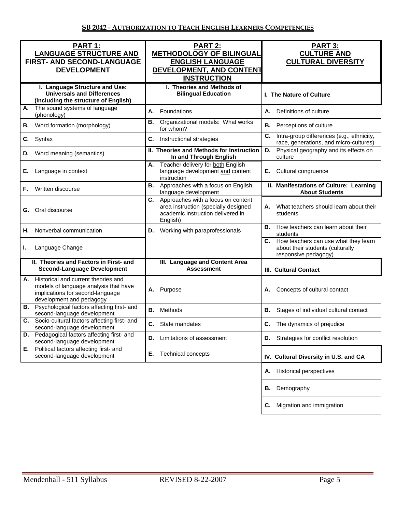| PART 1:<br><b>LANGUAGE STRUCTURE AND</b><br>FIRST- AND SECOND-LANGUAGE<br><b>DEVELOPMENT</b>                                                       | PART 2:<br><b>METHODOLOGY OF BILINGUAL</b><br><b>ENGLISH LANGUAGE</b><br>DEVELOPMENT, AND CONTENT<br><b>INSTRUCTION</b>           | <b>PART 3:</b><br><b>CULTURE AND</b><br><b>CULTURAL DIVERSITY</b>                                   |
|----------------------------------------------------------------------------------------------------------------------------------------------------|-----------------------------------------------------------------------------------------------------------------------------------|-----------------------------------------------------------------------------------------------------|
| I. Language Structure and Use:<br><b>Universals and Differences</b><br>(including the structure of English)                                        | I. Theories and Methods of<br><b>Bilingual Education</b>                                                                          | I. The Nature of Culture                                                                            |
| The sound systems of language<br>А.<br>(phonology)                                                                                                 | Foundations<br>А.                                                                                                                 | Definitions of culture<br>А.                                                                        |
| Word formation (morphology)<br>В.                                                                                                                  | В.<br>Organizational models: What works<br>for whom?                                                                              | В.<br>Perceptions of culture                                                                        |
| C.<br>Syntax                                                                                                                                       | C.<br>Instructional strategies                                                                                                    | C.<br>Intra-group differences (e.g., ethnicity,<br>race, generations, and micro-cultures)           |
| Word meaning (semantics)<br>D.                                                                                                                     | II. Theories and Methods for Instruction<br>In and Through English                                                                | Physical geography and its effects on<br>D.<br>culture                                              |
| Е.<br>Language in context                                                                                                                          | Teacher delivery for both English<br>А.<br>language development and content<br>instruction                                        | Cultural congruence<br>Е.                                                                           |
| Written discourse<br>F.                                                                                                                            | Approaches with a focus on English<br>В.<br>language development                                                                  | II. Manifestations of Culture: Learning<br><b>About Students</b>                                    |
| Oral discourse<br>G.                                                                                                                               | Approaches with a focus on content<br>C.<br>area instruction (specially designed<br>academic instruction delivered in<br>English) | What teachers should learn about their<br>А.<br>students                                            |
| Nonverbal communication<br>Н.                                                                                                                      | Working with paraprofessionals<br>D.                                                                                              | How teachers can learn about their<br>В.<br>students                                                |
| Language Change<br>L.                                                                                                                              |                                                                                                                                   | C. How teachers can use what they learn<br>about their students (culturally<br>responsive pedagogy) |
| II. Theories and Factors in First- and<br><b>Second-Language Development</b>                                                                       | III. Language and Content Area<br><b>Assessment</b>                                                                               | <b>III. Cultural Contact</b>                                                                        |
| Historical and current theories and<br>А.<br>models of language analysis that have<br>implications for second-language<br>development and pedagogy | Purpose<br>А.                                                                                                                     | Concepts of cultural contact<br>А.                                                                  |
| <b>B.</b> Psychological factors affecting first- and<br>second-language development                                                                | Methods<br>В.                                                                                                                     | В.<br>Stages of individual cultural contact                                                         |
| Socio-cultural factors affecting first- and<br>C.<br>second-language development                                                                   | C. State mandates                                                                                                                 | C. The dynamics of prejudice                                                                        |
| Pedagogical factors affecting first- and<br>D.<br>second-language development                                                                      | Limitations of assessment<br>D.                                                                                                   | Strategies for conflict resolution<br>D.                                                            |
| Political factors affecting first- and<br>Е.<br>second-language development                                                                        | <b>Technical concepts</b><br>Е.                                                                                                   | IV. Cultural Diversity in U.S. and CA                                                               |
|                                                                                                                                                    |                                                                                                                                   | Historical perspectives<br>Α.                                                                       |
|                                                                                                                                                    |                                                                                                                                   | Demography<br>В.                                                                                    |
|                                                                                                                                                    |                                                                                                                                   | Migration and immigration<br>C.                                                                     |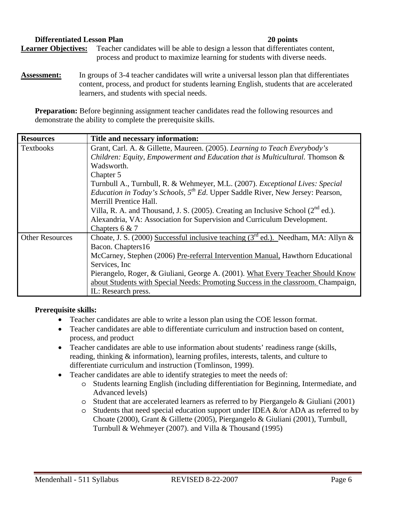#### **Differentiated Lesson Plan 20 points**

Learner Objectives: Teacher candidates will be able to design a lesson that differentiates content, process and product to maximize learning for students with diverse needs.

**Assessment:** In groups of 3-4 teacher candidates will write a universal lesson plan that differentiates content, process, and product for students learning English, students that are accelerated learners, and students with special needs.

**Preparation:** Before beginning assignment teacher candidates read the following resources and demonstrate the ability to complete the prerequisite skills.

| <b>Resources</b>       | Title and necessary information:                                                                  |  |
|------------------------|---------------------------------------------------------------------------------------------------|--|
| <b>Textbooks</b>       | Grant, Carl. A. & Gillette, Maureen. (2005). Learning to Teach Everybody's                        |  |
|                        | Children: Equity, Empowerment and Education that is Multicultural. Thomson &                      |  |
|                        | Wadsworth.                                                                                        |  |
|                        | Chapter 5                                                                                         |  |
|                        | Turnbull A., Turnbull, R. & Wehmeyer, M.L. (2007). <i>Exceptional Lives: Special</i>              |  |
|                        | <i>Education in Today's Schools,</i> $5^{th}$ <i>Ed.</i> Upper Saddle River, New Jersey: Pearson, |  |
|                        | Merrill Prentice Hall.                                                                            |  |
|                        | Villa, R. A. and Thousand, J. S. (2005). Creating an Inclusive School ( $2^{nd}$ ed.).            |  |
|                        | Alexandria, VA: Association for Supervision and Curriculum Development.                           |  |
|                        | Chapters $6 & 7$                                                                                  |  |
| <b>Other Resources</b> | Choate, J. S. (2000) Successful inclusive teaching ( $3^{rd}$ ed.). Needham, MA: Allyn &          |  |
|                        | Bacon. Chapters16                                                                                 |  |
|                        | McCarney, Stephen (2006) Pre-referral Intervention Manual, Hawthorn Educational                   |  |
|                        | Services, Inc.                                                                                    |  |
|                        | Pierangelo, Roger, & Giuliani, George A. (2001). What Every Teacher Should Know                   |  |
|                        | about Students with Special Needs: Promoting Success in the classroom. Champaign,                 |  |
|                        | IL: Research press.                                                                               |  |

#### **Prerequisite skills:**

- Teacher candidates are able to write a lesson plan using the COE lesson format.
- Teacher candidates are able to differentiate curriculum and instruction based on content, process, and product
- Teacher candidates are able to use information about students' readiness range (skills, reading, thinking & information), learning profiles, interests, talents, and culture to differentiate curriculum and instruction (Tomlinson, 1999).
- Teacher candidates are able to identify strategies to meet the needs of:
	- o Students learning English (including differentiation for Beginning, Intermediate, and Advanced levels)
	- o Student that are accelerated learners as referred to by Piergangelo & Giuliani (2001)
	- $\circ$  Students that need special education support under IDEA  $\&$ /or ADA as referred to by Choate (2000), Grant & Gillette (2005), Piergangelo & Giuliani (2001), Turnbull, Turnbull & Wehmeyer (2007). and Villa & Thousand (1995)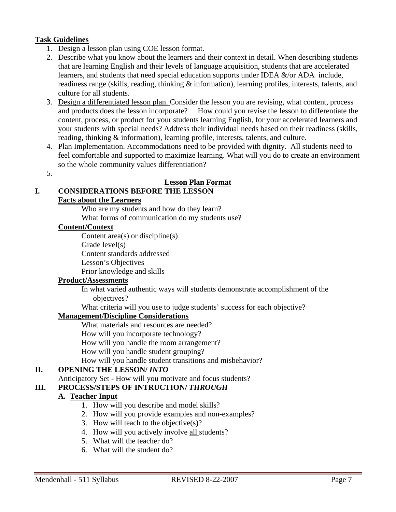## **Task Guidelines**

- 1. Design a lesson plan using COE lesson format.
- 2. Describe what you know about the learners and their context in detail. When describing students that are learning English and their levels of language acquisition, students that are accelerated learners, and students that need special education supports under IDEA &/or ADA include, readiness range (skills, reading, thinking & information), learning profiles, interests, talents, and culture for all students.
- 3. Design a differentiated lesson plan. Consider the lesson you are revising, what content, process and products does the lesson incorporate? How could you revise the lesson to differentiate the content, process, or product for your students learning English, for your accelerated learners and your students with special needs? Address their individual needs based on their readiness (skills, reading, thinking & information), learning profile, interests, talents, and culture.
- 4. Plan Implementation. Accommodations need to be provided with dignity. All students need to feel comfortable and supported to maximize learning. What will you do to create an environment so the whole community values differentiation?
- 5.

## **Lesson Plan Format**

## **I. CONSIDERATIONS BEFORE THE LESSON**

#### **Facts about the Learners**

Who are my students and how do they learn?

What forms of communication do my students use?

#### **Content/Context**

Content area(s) or discipline(s)

Grade level(s)

Content standards addressed

Lesson's Objectives

Prior knowledge and skills

### **Product/Assessments**

In what varied authentic ways will students demonstrate accomplishment of the objectives?

What criteria will you use to judge students' success for each objective?

### **Management/Discipline Considerations**

What materials and resources are needed?

How will you incorporate technology?

How will you handle the room arrangement?

How will you handle student grouping?

How will you handle student transitions and misbehavior?

## **II. OPENING THE LESSON/** *INTO*

Anticipatory Set - How will you motivate and focus students?

## **III.** PROCESS/STEPS OF INTRUCTION/ *THROUGH*

## **A. Teacher Input**

- 1. How will you describe and model skills?
- 2. How will you provide examples and non-examples?
- 3. How will teach to the objective(s)?
- 4. How will you actively involve all students?
- 5. What will the teacher do?
- 6. What will the student do?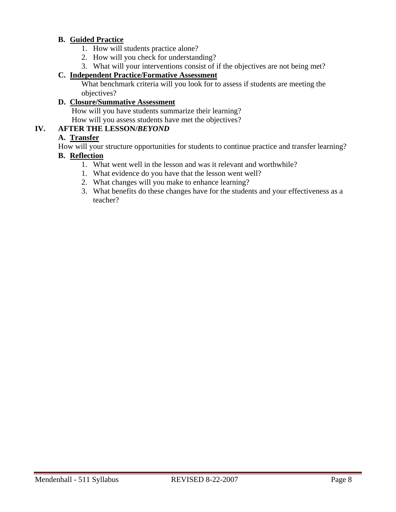## **B. Guided Practice**

- 1. How will students practice alone?
- 2. How will you check for understanding?
- 3. What will your interventions consist of if the objectives are not being met?

## **C. Independent Practice/Formative Assessment**

What benchmark criteria will you look for to assess if students are meeting the objectives?

## **D. Closure/Summative Assessment**

 How will you have students summarize their learning? How will you assess students have met the objectives?

## **IV. AFTER THE LESSON/***BEYOND*

## **A. Transfer**

How will your structure opportunities for students to continue practice and transfer learning?

### **B. Reflection**

- 1. What went well in the lesson and was it relevant and worthwhile?
- 1. What evidence do you have that the lesson went well?
- 2. What changes will you make to enhance learning?
- 3. What benefits do these changes have for the students and your effectiveness as a teacher?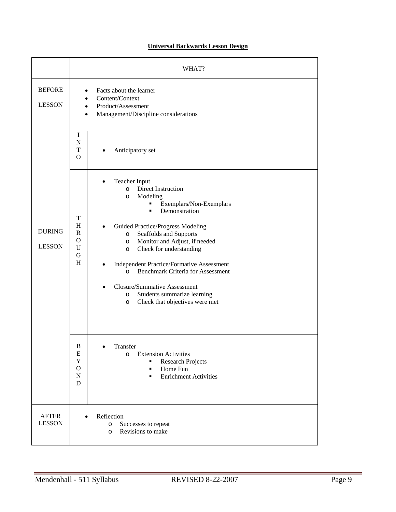### **Universal Backwards Lesson Design**

|                                | WHAT?                                                       |                                                                                                                                                                                                                                                                                                                                                                                                                                                                                                                                    |  |
|--------------------------------|-------------------------------------------------------------|------------------------------------------------------------------------------------------------------------------------------------------------------------------------------------------------------------------------------------------------------------------------------------------------------------------------------------------------------------------------------------------------------------------------------------------------------------------------------------------------------------------------------------|--|
| <b>BEFORE</b><br><b>LESSON</b> | $\bullet$<br>$\bullet$<br>$\bullet$<br>$\bullet$            | Facts about the learner<br>Content/Context<br>Product/Assessment<br>Management/Discipline considerations                                                                                                                                                                                                                                                                                                                                                                                                                           |  |
|                                | I<br>$\mathbf N$<br>T<br>$\Omega$                           | Anticipatory set                                                                                                                                                                                                                                                                                                                                                                                                                                                                                                                   |  |
| <b>DURING</b><br><b>LESSON</b> | T<br>H<br>$\mathbf R$<br>$\Omega$<br>$\mathbf{U}$<br>G<br>H | <b>Teacher Input</b><br><b>Direct Instruction</b><br>$\circ$<br>Modeling<br>$\circ$<br>Exemplars/Non-Exemplars<br>٠<br>Demonstration<br>$\blacksquare$<br>Guided Practice/Progress Modeling<br>Scaffolds and Supports<br>$\circ$<br>Monitor and Adjust, if needed<br>O<br>Check for understanding<br>O<br><b>Independent Practice/Formative Assessment</b><br><b>Benchmark Criteria for Assessment</b><br>$\circ$<br>Closure/Summative Assessment<br>Students summarize learning<br>$\circ$<br>Check that objectives were met<br>O |  |
|                                | B<br>E<br>Y<br>$\mathbf O$<br>$\mathbf N$<br>D              | Transfer<br><b>Extension Activities</b><br>$\circ$<br><b>Research Projects</b><br>Home Fun<br>٠<br><b>Enrichment Activities</b><br>٠                                                                                                                                                                                                                                                                                                                                                                                               |  |
| <b>AFTER</b><br><b>LESSON</b>  |                                                             | Reflection<br>Successes to repeat<br>$\circ$<br>Revisions to make<br>$\circ$                                                                                                                                                                                                                                                                                                                                                                                                                                                       |  |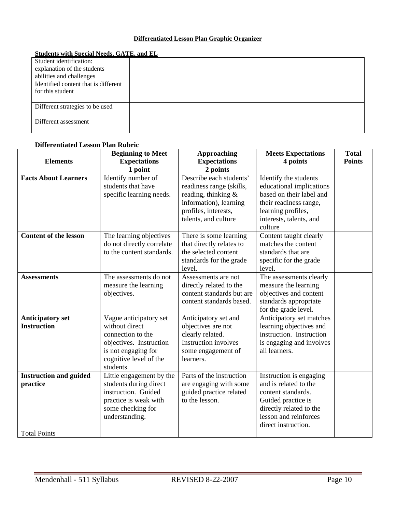#### **Differentiated Lesson Plan Graphic Organizer**

| Student identification:              |  |
|--------------------------------------|--|
| explanation of the students          |  |
| abilities and challenges             |  |
| Identified content that is different |  |
| for this student                     |  |
|                                      |  |
| Different strategies to be used      |  |
|                                      |  |
| Different assessment                 |  |
|                                      |  |

#### **Students with Special Needs, GATE, and EL**

| Differentiated Lesson Plan Rubric                                |                                                                                                                                                        |                                                                                                                                                      |                                                                                                                                                                         |                               |  |
|------------------------------------------------------------------|--------------------------------------------------------------------------------------------------------------------------------------------------------|------------------------------------------------------------------------------------------------------------------------------------------------------|-------------------------------------------------------------------------------------------------------------------------------------------------------------------------|-------------------------------|--|
| <b>Elements</b>                                                  | <b>Beginning to Meet</b><br><b>Expectations</b><br>1 point                                                                                             | <b>Approaching</b><br><b>Expectations</b><br>2 points                                                                                                | <b>Meets Expectations</b><br>4 points                                                                                                                                   | <b>Total</b><br><b>Points</b> |  |
| <b>Facts About Learners</b>                                      | Identify number of<br>students that have<br>specific learning needs.                                                                                   | Describe each students'<br>readiness range (skills,<br>reading, thinking &<br>information), learning<br>profiles, interests,<br>talents, and culture | Identify the students<br>educational implications<br>based on their label and<br>their readiness range,<br>learning profiles,<br>interests, talents, and<br>culture     |                               |  |
| <b>Content of the lesson</b>                                     | The learning objectives<br>do not directly correlate<br>to the content standards.                                                                      | There is some learning<br>that directly relates to<br>the selected content<br>standards for the grade<br>level.                                      | Content taught clearly<br>matches the content<br>standards that are<br>specific for the grade<br>level.                                                                 |                               |  |
| <b>Assessments</b>                                               | The assessments do not<br>measure the learning<br>objectives.                                                                                          | Assessments are not<br>directly related to the<br>content standards but are<br>content standards based.                                              | The assessments clearly<br>measure the learning<br>objectives and content<br>standards appropriate<br>for the grade level.                                              |                               |  |
| <b>Anticipatory set</b><br><b>Instruction</b>                    | Vague anticipatory set<br>without direct<br>connection to the<br>objectives. Instruction<br>is not engaging for<br>cognitive level of the<br>students. | Anticipatory set and<br>objectives are not<br>clearly related.<br><b>Instruction involves</b><br>some engagement of<br>learners.                     | Anticipatory set matches<br>learning objectives and<br>instruction. Instruction<br>is engaging and involves<br>all learners.                                            |                               |  |
| <b>Instruction and guided</b><br>practice<br><b>Total Points</b> | Little engagement by the<br>students during direct<br>instruction. Guided<br>practice is weak with<br>some checking for<br>understanding.              | Parts of the instruction<br>are engaging with some<br>guided practice related<br>to the lesson.                                                      | Instruction is engaging<br>and is related to the<br>content standards.<br>Guided practice is<br>directly related to the<br>lesson and reinforces<br>direct instruction. |                               |  |

#### **Differentiated Lesson Plan Rubric**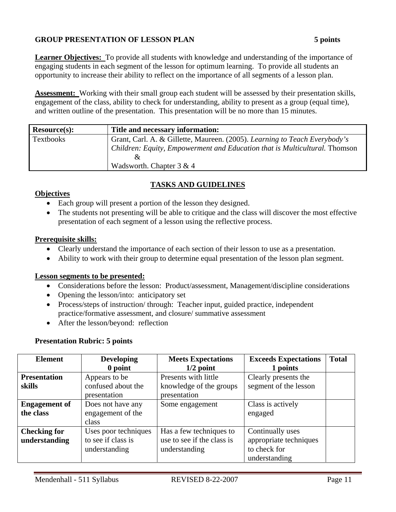## **GROUP PRESENTATION OF LESSON PLAN 5 points**

**Learner Objectives:** To provide all students with knowledge and understanding of the importance of engaging students in each segment of the lesson for optimum learning. To provide all students an opportunity to increase their ability to reflect on the importance of all segments of a lesson plan.

**Assessment:** Working with their small group each student will be assessed by their presentation skills, engagement of the class, ability to check for understanding, ability to present as a group (equal time), and written outline of the presentation. This presentation will be no more than 15 minutes.

| Resource(s): | Title and necessary information:                                           |
|--------------|----------------------------------------------------------------------------|
| Textbooks    | Grant, Carl. A. & Gillette, Maureen. (2005). Learning to Teach Everybody's |
|              | Children: Equity, Empowerment and Education that is Multicultural. Thomson |
|              |                                                                            |
|              | Wadsworth. Chapter $3 & 4$                                                 |

## **TASKS AND GUIDELINES**

### **Objectives**

- Each group will present a portion of the lesson they designed.
- The students not presenting will be able to critique and the class will discover the most effective presentation of each segment of a lesson using the reflective process.

#### **Prerequisite skills:**

- Clearly understand the importance of each section of their lesson to use as a presentation.
- Ability to work with their group to determine equal presentation of the lesson plan segment.

#### **Lesson segments to be presented:**

- Considerations before the lesson: Product/assessment, Management/discipline considerations
- Opening the lesson/into: anticipatory set
- Process/steps of instruction/ through: Teacher input, guided practice, independent practice/formative assessment, and closure/ summative assessment
- After the lesson/beyond: reflection

#### **Presentation Rubric: 5 points**

| <b>Element</b>       | <b>Developing</b>    | <b>Meets Expectations</b>  | <b>Exceeds Expectations</b> | <b>Total</b> |
|----------------------|----------------------|----------------------------|-----------------------------|--------------|
|                      | 0 point              | $1/2$ point                | 1 points                    |              |
| <b>Presentation</b>  | Appears to be        | Presents with little       | Clearly presents the        |              |
| skills               | confused about the   | knowledge of the groups    | segment of the lesson       |              |
|                      | presentation         | presentation               |                             |              |
| <b>Engagement of</b> | Does not have any    | Some engagement            | Class is actively           |              |
| the class            | engagement of the    |                            | engaged                     |              |
|                      | class                |                            |                             |              |
| <b>Checking for</b>  | Uses poor techniques | Has a few techniques to    | Continually uses            |              |
| understanding        | to see if class is   | use to see if the class is | appropriate techniques      |              |
|                      | understanding        | understanding              | to check for                |              |
|                      |                      |                            | understanding               |              |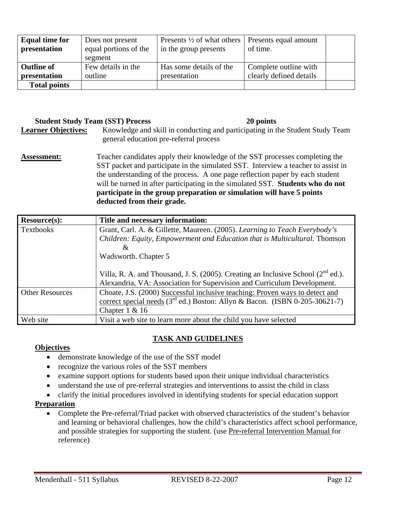| <b>Equal time for</b><br>presentation | Does not present<br>equal portions of the<br>segment | Presents $\frac{1}{2}$ of what others<br>in the group presents | Presents equal amount<br>of time.                |  |
|---------------------------------------|------------------------------------------------------|----------------------------------------------------------------|--------------------------------------------------|--|
| <b>Outline of</b><br>presentation     | Few details in the<br>outline                        | Has some details of the<br>presentation                        | Complete outline with<br>clearly defined details |  |
| <b>Total points</b>                   |                                                      |                                                                |                                                  |  |

## **Student Study Team (SST) Process 20 points**

- **Learner Objectives:** Knowledge and skill in conducting and participating in the Student Study Team general education pre-referral process
- **Assessment:** Teacher candidates apply their knowledge of the SST processes completing the SST packet and participate in the simulated SST. Interview a teacher to assist in the understanding of the process. A one page reflection paper by each student will be turned in after participating in the simulated SST. **Students who do not participate in the group preparation or simulation will have 5 points deducted from their grade.**

| <b>Resource(s):</b>    | Title and necessary information:                                                       |  |
|------------------------|----------------------------------------------------------------------------------------|--|
| Textbooks              | Grant, Carl. A. & Gillette, Maureen. (2005). Learning to Teach Everybody's             |  |
|                        | Children: Equity, Empowerment and Education that is Multicultural. Thomson             |  |
|                        | &                                                                                      |  |
|                        | Wadsworth. Chapter 5                                                                   |  |
|                        |                                                                                        |  |
|                        | Villa, R. A. and Thousand, J. S. (2005). Creating an Inclusive School ( $2^{nd}$ ed.). |  |
|                        | Alexandria, VA: Association for Supervision and Curriculum Development.                |  |
| <b>Other Resources</b> | Choate, J.S. (2000) Successful inclusive teaching: Proven ways to detect and           |  |
|                        | correct special needs ( $3rd$ ed.) Boston: Allyn & Bacon. (ISBN 0-205-30621-7)         |  |
|                        | Chapter $1 & 16$                                                                       |  |
| Web site               | Visit a web site to learn more about the child you have selected                       |  |

## **TASK AND GUIDELINES**

### **Objectives**

- demonstrate knowledge of the use of the SST model
- recognize the various roles of the SST members
- examine support options for students based upon their unique individual characteristics
- understand the use of pre-referral strategies and interventions to assist the child in class
- clarify the initial procedures involved in identifying students for special education support

## **Preparation**

• Complete the Pre-referral/Triad packet with observed characteristics of the student's behavior and learning or behavioral challenges, how the child's characteristics affect school performance, and possible strategies for supporting the student. (use Pre-referral Intervention Manual for reference)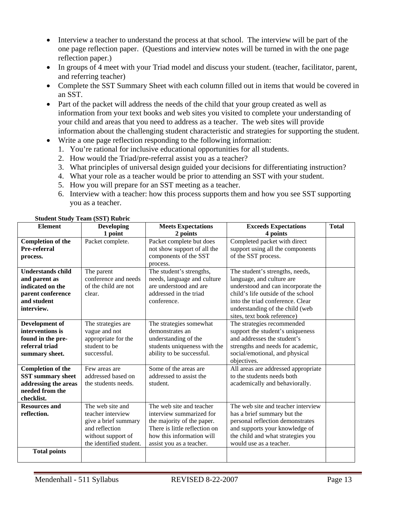- Interview a teacher to understand the process at that school. The interview will be part of the one page reflection paper. (Questions and interview notes will be turned in with the one page reflection paper.)
- In groups of 4 meet with your Triad model and discuss your student. (teacher, facilitator, parent, and referring teacher)
- Complete the SST Summary Sheet with each column filled out in items that would be covered in an SST.
- Part of the packet will address the needs of the child that your group created as well as information from your text books and web sites you visited to complete your understanding of your child and areas that you need to address as a teacher. The web sites will provide information about the challenging student characteristic and strategies for supporting the student.
- Write a one page reflection responding to the following information:
	- 1. You're rational for inclusive educational opportunities for all students.
	- 2. How would the Triad/pre-referral assist you as a teacher?
	- 3. What principles of universal design guided your decisions for differentiating instruction?
	- 4. What your role as a teacher would be prior to attending an SST with your student.
	- 5. How you will prepare for an SST meeting as a teacher.
	- 6. Interview with a teacher: how this process supports them and how you see SST supporting you as a teacher.

| <b>Element</b>                                                                                                  | Developing                                                                                                                       | <b>Meets Expectations</b>                                                                                                                                                    | <b>Exceeds Expectations</b>                                                                                                                                                                                                                    | <b>Total</b> |
|-----------------------------------------------------------------------------------------------------------------|----------------------------------------------------------------------------------------------------------------------------------|------------------------------------------------------------------------------------------------------------------------------------------------------------------------------|------------------------------------------------------------------------------------------------------------------------------------------------------------------------------------------------------------------------------------------------|--------------|
|                                                                                                                 | 1 point                                                                                                                          | 2 points                                                                                                                                                                     | 4 points                                                                                                                                                                                                                                       |              |
| <b>Completion of the</b><br>Pre-referral<br>process.                                                            | Packet complete.                                                                                                                 | Packet complete but does<br>not show support of all the<br>components of the SST<br>process.                                                                                 | Completed packet with direct<br>support using all the components<br>of the SST process.                                                                                                                                                        |              |
| <b>Understands child</b><br>and parent as<br>indicated on the<br>parent conference<br>and student<br>interview. | The parent<br>conference and needs<br>of the child are not<br>clear.                                                             | The student's strengths,<br>needs, language and culture<br>are understood and are<br>addressed in the triad<br>conference.                                                   | The student's strengths, needs,<br>language, and culture are<br>understood and can incorporate the<br>child's life outside of the school<br>into the triad conference. Clear<br>understanding of the child (web<br>sites, text book reference) |              |
| Development of<br>interventions is<br>found in the pre-<br>referral triad<br>summary sheet.                     | The strategies are<br>vague and not<br>appropriate for the<br>student to be<br>successful.                                       | The strategies somewhat<br>demonstrates an<br>understanding of the<br>students uniqueness with the<br>ability to be successful.                                              | The strategies recommended<br>support the student's uniqueness<br>and addresses the student's<br>strengths and needs for academic,<br>social/emotional, and physical<br>objectives.                                                            |              |
| <b>Completion of the</b><br><b>SST</b> summary sheet<br>addressing the areas<br>needed from the<br>checklist.   | Few areas are<br>addressed based on<br>the students needs.                                                                       | Some of the areas are<br>addressed to assist the<br>student.                                                                                                                 | All areas are addressed appropriate<br>to the students needs both<br>academically and behaviorally.                                                                                                                                            |              |
| <b>Resources and</b><br>reflection.<br><b>Total points</b>                                                      | The web site and<br>teacher interview<br>give a brief summary<br>and reflection<br>without support of<br>the identified student. | The web site and teacher<br>interview summarized for<br>the majority of the paper.<br>There is little reflection on<br>how this information will<br>assist you as a teacher. | The web site and teacher interview<br>has a brief summary but the<br>personal reflection demonstrates<br>and supports your knowledge of<br>the child and what strategies you<br>would use as a teacher.                                        |              |
|                                                                                                                 |                                                                                                                                  |                                                                                                                                                                              |                                                                                                                                                                                                                                                |              |

#### **Student Study Team (SST) Rubric**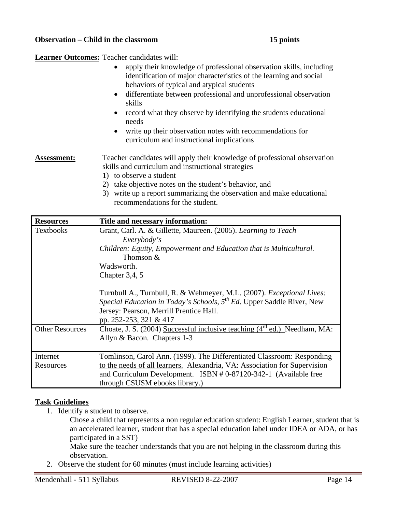#### **Observation – Child in the classroom 15 points**

**Learner Outcomes:** Teacher candidates will:

- apply their knowledge of professional observation skills, including identification of major characteristics of the learning and social behaviors of typical and atypical students
- differentiate between professional and unprofessional observation skills
- record what they observe by identifying the students educational needs
- write up their observation notes with recommendations for curriculum and instructional implications

Assessment: Teacher candidates will apply their knowledge of professional observation skills and curriculum and instructional strategies

- 1) to observe a student
- 2) take objective notes on the student's behavior, and
- 3) write up a report summarizing the observation and make educational recommendations for the student.

| <b>Resources</b>       | Title and necessary information:                                               |  |  |
|------------------------|--------------------------------------------------------------------------------|--|--|
| <b>Textbooks</b>       | Grant, Carl. A. & Gillette, Maureen. (2005). Learning to Teach                 |  |  |
|                        | Everybody's                                                                    |  |  |
|                        | Children: Equity, Empowerment and Education that is Multicultural.             |  |  |
|                        | Thomson $&$                                                                    |  |  |
|                        | Wadsworth.                                                                     |  |  |
|                        | Chapter $3,4,5$                                                                |  |  |
|                        |                                                                                |  |  |
|                        | Turnbull A., Turnbull, R. & Wehmeyer, M.L. (2007). Exceptional Lives:          |  |  |
|                        | Special Education in Today's Schools, $5^{th}$ Ed. Upper Saddle River, New     |  |  |
|                        | Jersey: Pearson, Merrill Prentice Hall.                                        |  |  |
|                        | pp. 252-253, 321 & 417                                                         |  |  |
| <b>Other Resources</b> | Choate, J. S. (2004) Successful inclusive teaching $(4^{rd}$ ed.) Needham, MA: |  |  |
|                        | Allyn & Bacon. Chapters 1-3                                                    |  |  |
|                        |                                                                                |  |  |
| Internet               | Tomlinson, Carol Ann. (1999). The Differentiated Classroom: Responding         |  |  |
| Resources              | to the needs of all learners. Alexandria, VA: Association for Supervision      |  |  |
|                        | and Curriculum Development. ISBN #0-87120-342-1 (Available free                |  |  |
|                        | through CSUSM ebooks library.)                                                 |  |  |

### **Task Guidelines**

1. Identify a student to observe.

Chose a child that represents a non regular education student: English Learner, student that is an accelerated learner, student that has a special education label under IDEA or ADA, or has participated in a SST)

Make sure the teacher understands that you are not helping in the classroom during this observation.

2. Observe the student for 60 minutes (must include learning activities)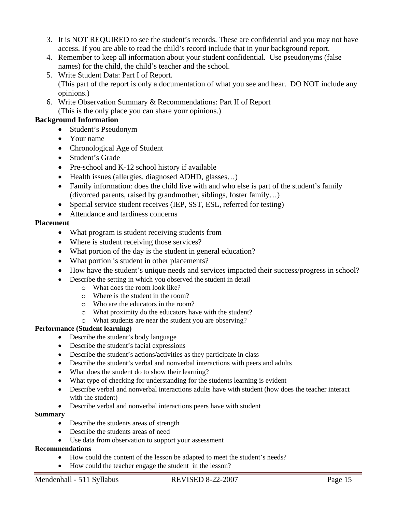- 3. It is NOT REQUIRED to see the student's records. These are confidential and you may not have access. If you are able to read the child's record include that in your background report.
- 4. Remember to keep all information about your student confidential. Use pseudonyms (false names) for the child, the child's teacher and the school.
- 5. Write Student Data: Part I of Report. (This part of the report is only a documentation of what you see and hear. DO NOT include any opinions.)
- 6. Write Observation Summary & Recommendations: Part II of Report (This is the only place you can share your opinions.)

## **Background Information**

- Student's Pseudonym
- Your name
- Chronological Age of Student
- Student's Grade
- Pre-school and K-12 school history if available
- Health issues (allergies, diagnosed ADHD, glasses...)
- Family information: does the child live with and who else is part of the student's family (divorced parents, raised by grandmother, siblings, foster family…)
- Special service student receives (IEP, SST, ESL, referred for testing)
- Attendance and tardiness concerns

#### **Placement**

- What program is student receiving students from
- Where is student receiving those services?
- What portion of the day is the student in general education?
- What portion is student in other placements?
- How have the student's unique needs and services impacted their success/progress in school?
- Describe the setting in which you observed the student in detail
	- o What does the room look like?
	- o Where is the student in the room?
	- o Who are the educators in the room?
	- o What proximity do the educators have with the student?
	- o What students are near the student you are observing?

### **Performance (Student learning)**

- Describe the student's body language
- Describe the student's facial expressions
- Describe the student's actions/activities as they participate in class
- Describe the student's verbal and nonverbal interactions with peers and adults
- What does the student do to show their learning?
- What type of checking for understanding for the students learning is evident
- Describe verbal and nonverbal interactions adults have with student (how does the teacher interact with the student)
- Describe verbal and nonverbal interactions peers have with student

#### **Summary**

- Describe the students areas of strength
- Describe the students areas of need
- Use data from observation to support your assessment

#### **Recommendations**

- How could the content of the lesson be adapted to meet the student's needs?
- How could the teacher engage the student in the lesson?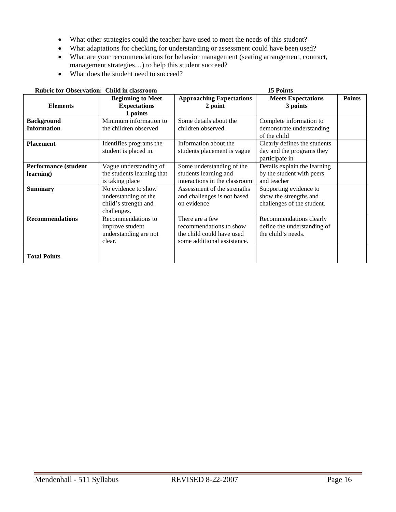- What other strategies could the teacher have used to meet the needs of this student?
- What adaptations for checking for understanding or assessment could have been used?
- What are your recommendations for behavior management (seating arrangement, contract, management strategies…) to help this student succeed?
- What does the student need to succeed?

| <b>Rubric for Observation: Child in classroom</b><br><b>15 Points</b> |                                                                                    |                                                                                                        |                                                                                |               |
|-----------------------------------------------------------------------|------------------------------------------------------------------------------------|--------------------------------------------------------------------------------------------------------|--------------------------------------------------------------------------------|---------------|
| <b>Elements</b>                                                       | <b>Beginning to Meet</b><br><b>Expectations</b><br>1 points                        | <b>Approaching Expectations</b><br>2 point                                                             | <b>Meets Expectations</b><br>3 points                                          | <b>Points</b> |
| <b>Background</b><br><b>Information</b>                               | Minimum information to<br>the children observed                                    | Some details about the<br>children observed                                                            | Complete information to<br>demonstrate understanding<br>of the child           |               |
| <b>Placement</b>                                                      | Identifies programs the<br>student is placed in.                                   | Information about the<br>students placement is vague                                                   | Clearly defines the students<br>day and the programs they<br>participate in    |               |
| <b>Performance (student</b><br>learning)                              | Vague understanding of<br>the students learning that<br>is taking place            | Some understanding of the<br>students learning and<br>interactions in the classroom                    | Details explain the learning<br>by the student with peers<br>and teacher       |               |
| <b>Summary</b>                                                        | No evidence to show<br>understanding of the<br>child's strength and<br>challenges. | Assessment of the strengths<br>and challenges is not based<br>on evidence                              | Supporting evidence to<br>show the strengths and<br>challenges of the student. |               |
| <b>Recommendations</b>                                                | Recommendations to<br>improve student<br>understanding are not<br>clear.           | There are a few<br>recommendations to show<br>the child could have used<br>some additional assistance. | Recommendations clearly<br>define the understanding of<br>the child's needs.   |               |
| <b>Total Points</b>                                                   |                                                                                    |                                                                                                        |                                                                                |               |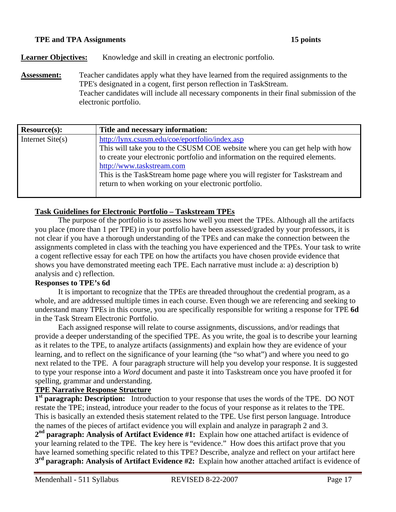#### **TPE and TPA Assignments 15 points 15 points**

**Learner Objectives:** Knowledge and skill in creating an electronic portfolio.

**Assessment:** Teacher candidates apply what they have learned from the required assignments to the TPE's designated in a cogent, first person reflection in TaskStream. Teacher candidates will include all necessary components in their final submission of the electronic portfolio.

| Resource(s):       | Title and necessary information:                                                                                                                                                                                                                                                                                                                                                   |
|--------------------|------------------------------------------------------------------------------------------------------------------------------------------------------------------------------------------------------------------------------------------------------------------------------------------------------------------------------------------------------------------------------------|
| Internet $Site(s)$ | http://lynx.csusm.edu/coe/eportfolio/index.asp<br>This will take you to the CSUSM COE website where you can get help with how<br>to create your electronic portfolio and information on the required elements.<br>http://www.taskstream.com<br>This is the TaskStream home page where you will register for Taskstream and<br>return to when working on your electronic portfolio. |

### **Task Guidelines for Electronic Portfolio – Taskstream TPEs**

The purpose of the portfolio is to assess how well you meet the TPEs. Although all the artifacts you place (more than 1 per TPE) in your portfolio have been assessed/graded by your professors, it is not clear if you have a thorough understanding of the TPEs and can make the connection between the assignments completed in class with the teaching you have experienced and the TPEs. Your task to write a cogent reflective essay for each TPE on how the artifacts you have chosen provide evidence that shows you have demonstrated meeting each TPE. Each narrative must include a: a) description b) analysis and c) reflection.

#### **Responses to TPE's 6d**

It is important to recognize that the TPEs are threaded throughout the credential program, as a whole, and are addressed multiple times in each course. Even though we are referencing and seeking to understand many TPEs in this course, you are specifically responsible for writing a response for TPE **6d**  in the Task Stream Electronic Portfolio.

Each assigned response will relate to course assignments, discussions, and/or readings that provide a deeper understanding of the specified TPE. As you write, the goal is to describe your learning as it relates to the TPE, to analyze artifacts (assignments) and explain how they are evidence of your learning, and to reflect on the significance of your learning (the "so what") and where you need to go next related to the TPE. A four paragraph structure will help you develop your response. It is suggested to type your response into a *Word* document and paste it into Taskstream once you have proofed it for spelling, grammar and understanding.

## **TPE Narrative Response Structure**

**1st paragraph: Description:** Introduction to your response that uses the words of the TPE. DO NOT restate the TPE; instead, introduce your reader to the focus of your response as it relates to the TPE. This is basically an extended thesis statement related to the TPE. Use first person language. Introduce the names of the pieces of artifact evidence you will explain and analyze in paragraph 2 and 3. **2nd paragraph: Analysis of Artifact Evidence #1:** Explain how one attached artifact is evidence of your learning related to the TPE. The key here is "evidence." How does this artifact prove that you have learned something specific related to this TPE? Describe, analyze and reflect on your artifact here **3rd paragraph: Analysis of Artifact Evidence #2:** Explain how another attached artifact is evidence of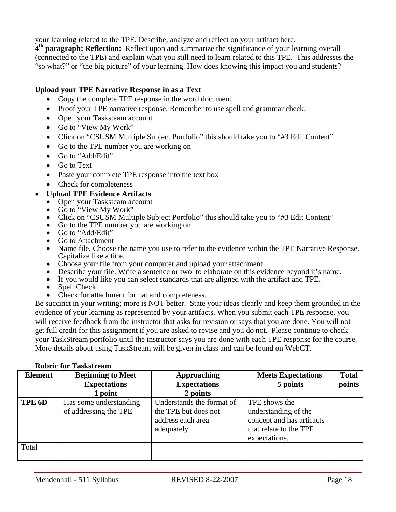your learning related to the TPE. Describe, analyze and reflect on your artifact here.

**4th paragraph: Reflection:** Reflect upon and summarize the significance of your learning overall (connected to the TPE) and explain what you still need to learn related to this TPE. This addresses the "so what?" or "the big picture" of your learning. How does knowing this impact you and students?

### **Upload your TPE Narrative Response in as a Text**

- Copy the complete TPE response in the word document
- Proof your TPE narrative response. Remember to use spell and grammar check.
- Open your Tasksteam account
- Go to "View My Work"
- Click on "CSUSM Multiple Subject Portfolio" this should take you to "#3 Edit Content"
- Go to the TPE number you are working on
- Go to "Add/Edit"
- Go to Text
- Paste your complete TPE response into the text box
- Check for completeness

## • **Upload TPE Evidence Artifacts**

- Open your Tasksteam account
- Go to "View My Work"
- Click on "CSUSM Multiple Subject Portfolio" this should take you to "#3 Edit Content"
- Go to the TPE number you are working on
- Go to "Add/Edit"
- Go to Attachment
- Name file. Choose the name you use to refer to the evidence within the TPE Narrative Response. Capitalize like a title.
- Choose your file from your computer and upload your attachment
- Describe your file. Write a sentence or two to elaborate on this evidence beyond it's name.
- If you would like you can select standards that are aligned with the artifact and TPE.
- Spell Check
- Check for attachment format and completeness.

Be succinct in your writing; more is NOT better. State your ideas clearly and keep them grounded in the evidence of your learning as represented by your artifacts. When you submit each TPE response, you will receive feedback from the instructor that asks for revision or says that you are done. You will not get full credit for this assignment if you are asked to revise and you do not. Please continue to check your TaskStream portfolio until the instructor says you are done with each TPE response for the course. More details about using TaskStream will be given in class and can be found on WebCT.

|  | <b>Rubric for Taskstream</b> |
|--|------------------------------|
|--|------------------------------|

| <b>Element</b> | <b>Beginning to Meet</b><br><b>Expectations</b><br>1 point | <b>Approaching</b><br><b>Expectations</b><br>2 points                                | <b>Meets Expectations</b><br>5 points                                                                         | <b>Total</b><br>points |
|----------------|------------------------------------------------------------|--------------------------------------------------------------------------------------|---------------------------------------------------------------------------------------------------------------|------------------------|
| TPE 6D         | Has some understanding<br>of addressing the TPE            | Understands the format of<br>the TPE but does not<br>address each area<br>adequately | TPE shows the<br>understanding of the<br>concept and has artifacts<br>that relate to the TPE<br>expectations. |                        |
| Total          |                                                            |                                                                                      |                                                                                                               |                        |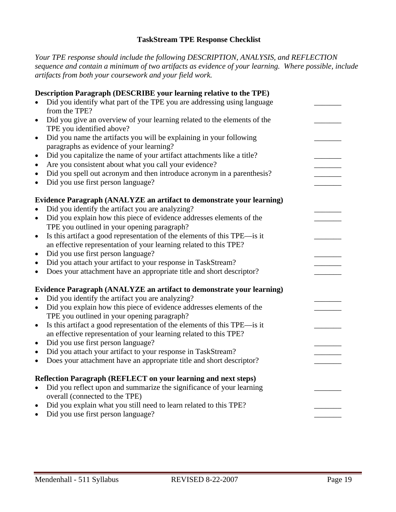### **TaskStream TPE Response Checklist**

*Your TPE response should include the following DESCRIPTION, ANALYSIS, and REFLECTION sequence and contain a minimum of two artifacts as evidence of your learning. Where possible, include artifacts from both your coursework and your field work.* 

|           | Description Paragraph (DESCRIBE your learning relative to the TPE)       |  |
|-----------|--------------------------------------------------------------------------|--|
|           | Did you identify what part of the TPE you are addressing using language  |  |
|           | from the TPE?                                                            |  |
| $\bullet$ | Did you give an overview of your learning related to the elements of the |  |
|           | TPE you identified above?                                                |  |
| $\bullet$ | Did you name the artifacts you will be explaining in your following      |  |
|           | paragraphs as evidence of your learning?                                 |  |
| $\bullet$ | Did you capitalize the name of your artifact attachments like a title?   |  |
| $\bullet$ | Are you consistent about what you call your evidence?                    |  |
| $\bullet$ | Did you spell out acronym and then introduce acronym in a parenthesis?   |  |
| $\bullet$ | Did you use first person language?                                       |  |
|           | Evidence Paragraph (ANALYZE an artifact to demonstrate your learning)    |  |
|           | Did you identify the artifact you are analyzing?                         |  |
| $\bullet$ | Did you explain how this piece of evidence addresses elements of the     |  |
|           | TPE you outlined in your opening paragraph?                              |  |
| $\bullet$ | Is this artifact a good representation of the elements of this TPE—is it |  |
|           | an effective representation of your learning related to this TPE?        |  |
| $\bullet$ | Did you use first person language?                                       |  |
| $\bullet$ | Did you attach your artifact to your response in TaskStream?             |  |
| $\bullet$ | Does your attachment have an appropriate title and short descriptor?     |  |
|           | Evidence Paragraph (ANALYZE an artifact to demonstrate your learning)    |  |
| $\bullet$ | Did you identify the artifact you are analyzing?                         |  |
| $\bullet$ | Did you explain how this piece of evidence addresses elements of the     |  |
|           | TPE you outlined in your opening paragraph?                              |  |
| $\bullet$ | Is this artifact a good representation of the elements of this TPE—is it |  |
|           | an effective representation of your learning related to this TPE?        |  |
| $\bullet$ | Did you use first person language?                                       |  |
| $\bullet$ | Did you attach your artifact to your response in TaskStream?             |  |
| $\bullet$ | Does your attachment have an appropriate title and short descriptor?     |  |
|           | Reflection Paragraph (REFLECT on your learning and next steps)           |  |
| $\bullet$ | Did you reflect upon and summarize the significance of your learning     |  |
|           | overall (connected to the TPE)                                           |  |
| $\bullet$ | Did you explain what you still need to learn related to this TPE?        |  |
| $\bullet$ | Did you use first person language?                                       |  |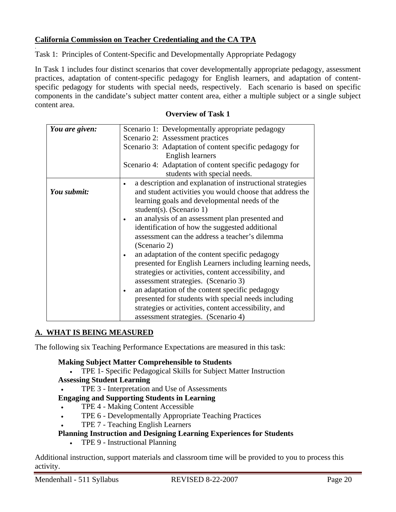## **California Commission on Teacher Credentialing and the CA TPA**

.

Task 1: Principles of Content-Specific and Developmentally Appropriate Pedagogy

In Task 1 includes four distinct scenarios that cover developmentally appropriate pedagogy, assessment practices, adaptation of content-specific pedagogy for English learners, and adaptation of contentspecific pedagogy for students with special needs, respectively. Each scenario is based on specific components in the candidate's subject matter content area, either a multiple subject or a single subject content area.

#### **Overview of Task 1**

| You are given: | Scenario 1: Developmentally appropriate pedagogy                       |  |  |
|----------------|------------------------------------------------------------------------|--|--|
|                | Scenario 2: Assessment practices                                       |  |  |
|                |                                                                        |  |  |
|                | Scenario 3: Adaptation of content specific pedagogy for                |  |  |
|                | English learners                                                       |  |  |
|                | Scenario 4: Adaptation of content specific pedagogy for                |  |  |
|                | students with special needs.                                           |  |  |
|                | a description and explanation of instructional strategies<br>$\bullet$ |  |  |
| You submit:    | and student activities you would choose that address the               |  |  |
|                | learning goals and developmental needs of the                          |  |  |
|                | student(s). (Scenario 1)                                               |  |  |
|                | an analysis of an assessment plan presented and                        |  |  |
|                | identification of how the suggested additional                         |  |  |
|                | assessment can the address a teacher's dilemma                         |  |  |
|                | (Scenario 2)                                                           |  |  |
|                | an adaptation of the content specific pedagogy                         |  |  |
|                | presented for English Learners including learning needs,               |  |  |
|                | strategies or activities, content accessibility, and                   |  |  |
|                | assessment strategies. (Scenario 3)                                    |  |  |
|                | an adaptation of the content specific pedagogy                         |  |  |
|                | presented for students with special needs including                    |  |  |
|                | strategies or activities, content accessibility, and                   |  |  |
|                | assessment strategies. (Scenario 4)                                    |  |  |

### **A. WHAT IS BEING MEASURED**

The following six Teaching Performance Expectations are measured in this task:

#### **Making Subject Matter Comprehensible to Students**

• TPE 1- Specific Pedagogical Skills for Subject Matter Instruction

#### **Assessing Student Learning**

• TPE 3 - Interpretation and Use of Assessments

### **Engaging and Supporting Students in Learning**

- TPE 4 Making Content Accessible
- TPE 6 Developmentally Appropriate Teaching Practices
- TPE 7 Teaching English Learners

### **Planning Instruction and Designing Learning Experiences for Students**

• TPE 9 - Instructional Planning

Additional instruction, support materials and classroom time will be provided to you to process this activity.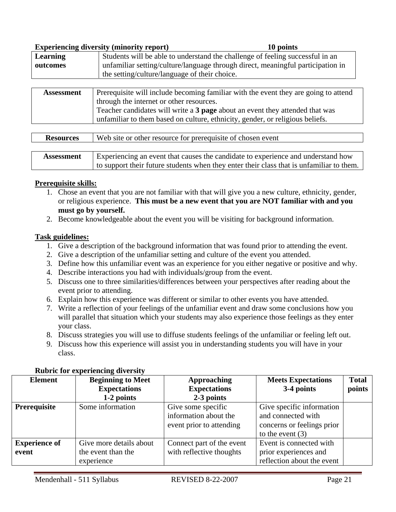|                   | <b>Experiencing diversity (minority report)</b><br>10 points                        |  |  |
|-------------------|-------------------------------------------------------------------------------------|--|--|
| <b>Learning</b>   | Students will be able to understand the challenge of feeling successful in an       |  |  |
| outcomes          | unfamiliar setting/culture/language through direct, meaningful participation in     |  |  |
|                   | the setting/culture/language of their choice.                                       |  |  |
|                   |                                                                                     |  |  |
| <b>Assessment</b> | Prerequisite will include becoming familiar with the event they are going to attend |  |  |
|                   | through the internet or other resources.                                            |  |  |
|                   | Teacher candidates will write a 3 page about an event they attended that was        |  |  |
|                   | unfamiliar to them based on culture, ethnicity, gender, or religious beliefs.       |  |  |
|                   |                                                                                     |  |  |

| <b>Resources</b>  | Web site or other resource for prerequisite of chosen event                              |  |  |
|-------------------|------------------------------------------------------------------------------------------|--|--|
|                   |                                                                                          |  |  |
| <b>Assessment</b> | Experiencing an event that causes the candidate to experience and understand how         |  |  |
|                   | to support their future students when they enter their class that is unfamiliar to them. |  |  |

#### **Prerequisite skills:**

- 1. Chose an event that you are not familiar with that will give you a new culture, ethnicity, gender, or religious experience. **This must be a new event that you are NOT familiar with and you must go by yourself.**
- 2. Become knowledgeable about the event you will be visiting for background information.

#### **Task guidelines:**

- 1. Give a description of the background information that was found prior to attending the event.
- 2. Give a description of the unfamiliar setting and culture of the event you attended.
- 3. Define how this unfamiliar event was an experience for you either negative or positive and why.
- 4. Describe interactions you had with individuals/group from the event.
- 5. Discuss one to three similarities/differences between your perspectives after reading about the event prior to attending.
- 6. Explain how this experience was different or similar to other events you have attended.
- 7. Write a reflection of your feelings of the unfamiliar event and draw some conclusions how you will parallel that situation which your students may also experience those feelings as they enter your class.
- 8. Discuss strategies you will use to diffuse students feelings of the unfamiliar or feeling left out.
- 9. Discuss how this experience will assist you in understanding students you will have in your class.

| <b>Element</b>       | <b>Beginning to Meet</b> | <b>Approaching</b>        | <b>Meets Expectations</b>  | <b>Total</b> |
|----------------------|--------------------------|---------------------------|----------------------------|--------------|
|                      | <b>Expectations</b>      | <b>Expectations</b>       | 3-4 points                 | points       |
|                      | 1-2 points               | 2-3 points                |                            |              |
| Prerequisite         | Some information         | Give some specific        | Give specific information  |              |
|                      |                          | information about the     | and connected with         |              |
|                      |                          | event prior to attending  | concerns or feelings prior |              |
|                      |                          |                           | to the event $(3)$         |              |
| <b>Experience of</b> | Give more details about  | Connect part of the event | Event is connected with    |              |
| event                | the event than the       | with reflective thoughts  | prior experiences and      |              |
|                      | experience               |                           | reflection about the event |              |

#### **Rubric for experiencing diversity**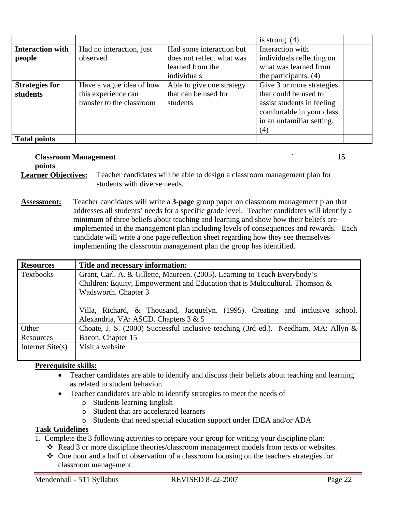|                         |                           |                           | is strong. $(4)$           |
|-------------------------|---------------------------|---------------------------|----------------------------|
| <b>Interaction with</b> | Had no interaction, just  | Had some interaction but  | Interaction with           |
| people                  | observed                  | does not reflect what was | individuals reflecting on  |
|                         |                           | learned from the          | what was learned from      |
|                         |                           | individuals               | the participants. $(4)$    |
| <b>Strategies for</b>   | Have a vague idea of how  | Able to give one strategy | Give 3 or more strategies  |
| students                | this experience can       | that can be used for      | that could be used to      |
|                         | transfer to the classroom | students                  | assist students in feeling |
|                         |                           |                           | comfortable in your class  |
|                         |                           |                           | in an unfamiliar setting.  |
|                         |                           |                           | (4)                        |
| <b>Total points</b>     |                           |                           |                            |

# **Classroom Management** 15

**points** 

**Learner Objectives:** Teacher candidates will be able to design a classroom management plan for students with diverse needs.

**Assessment:** Teacher candidates will write a **3-page** group paper on classroom management plan that addresses all students' needs for a specific grade level. Teacher candidates will identify a minimum of three beliefs about teaching and learning and show how their beliefs are implemented in the management plan including levels of consequences and rewards. Each candidate will write a one page reflection sheet regarding how they see themselves implementing the classroom management plan the group has identified.

| <b>Resources</b>   | Title and necessary information:                                                   |  |  |  |  |  |
|--------------------|------------------------------------------------------------------------------------|--|--|--|--|--|
| Textbooks          | Grant, Carl. A. & Gillette, Maureen. (2005). Learning to Teach Everybody's         |  |  |  |  |  |
|                    | Children: Equity, Empowerment and Education that is Multicultural. Thomson &       |  |  |  |  |  |
|                    | Wadsworth. Chapter 3                                                               |  |  |  |  |  |
|                    |                                                                                    |  |  |  |  |  |
|                    | Villa, Richard, & Thousand, Jacquelyn. (1995). Creating and inclusive school.      |  |  |  |  |  |
|                    | Alexandria, VA: ASCD. Chapters 3 & 5                                               |  |  |  |  |  |
| Other              | Choate, J. S. (2000) Successful inclusive teaching (3rd ed.). Needham, MA: Allyn & |  |  |  |  |  |
| Resources          | Bacon. Chapter 15                                                                  |  |  |  |  |  |
| Internet $Site(s)$ | Visit a website                                                                    |  |  |  |  |  |
|                    |                                                                                    |  |  |  |  |  |

## **Prerequisite skills:**

- Teacher candidates are able to identify and discuss their beliefs about teaching and learning as related to student behavior.
- Teacher candidates are able to identify strategies to meet the needs of
	- o Students learning English
	- o Student that are accelerated learners
	- o Students that need special education support under IDEA and/or ADA

## **Task Guidelines**

1. Complete the 3 following activities to prepare your group for writing your discipline plan:

- \* Read 3 or more discipline theories/classroom management models from texts or websites.
- One hour and a half of observation of a classroom focusing on the teachers strategies for classroom management.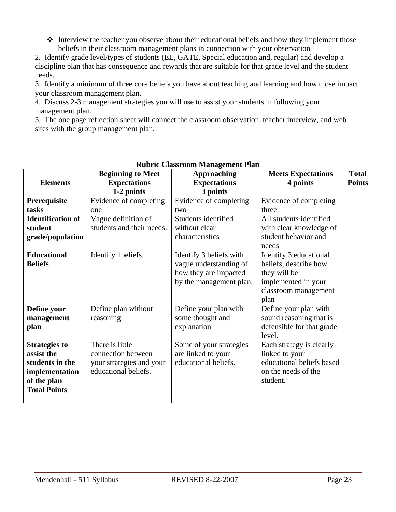$\triangle$  Interview the teacher you observe about their educational beliefs and how they implement those beliefs in their classroom management plans in connection with your observation

2. Identify grade level/types of students (EL, GATE, Special education and, regular) and develop a discipline plan that has consequence and rewards that are suitable for that grade level and the student needs.

3. Identify a minimum of three core beliefs you have about teaching and learning and how those impact your classroom management plan.

4. Discuss 2-3 management strategies you will use to assist your students in following your management plan.

5. The one page reflection sheet will connect the classroom observation, teacher interview, and web sites with the group management plan.

|                          | <b>Beginning to Meet</b>  | <b>Approaching</b>      | <b>Meets Expectations</b> | <b>Total</b>  |
|--------------------------|---------------------------|-------------------------|---------------------------|---------------|
| <b>Elements</b>          | <b>Expectations</b>       | <b>Expectations</b>     | 4 points                  | <b>Points</b> |
|                          | 1-2 points                | 3 points                |                           |               |
| Prerequisite             | Evidence of completing    | Evidence of completing  | Evidence of completing    |               |
| tasks                    | one                       | two                     | three                     |               |
| <b>Identification of</b> | Vague definition of       | Students identified     | All students identified   |               |
| student                  | students and their needs. | without clear           | with clear knowledge of   |               |
| grade/population         |                           | characteristics         | student behavior and      |               |
|                          |                           |                         | needs                     |               |
| <b>Educational</b>       | Identify 1beliefs.        | Identify 3 beliefs with | Identify 3 educational    |               |
| <b>Beliefs</b>           |                           | vague understanding of  | beliefs, describe how     |               |
|                          |                           | how they are impacted   | they will be              |               |
|                          |                           | by the management plan. | implemented in your       |               |
|                          |                           |                         | classroom management      |               |
|                          |                           |                         | plan                      |               |
| Define your              | Define plan without       | Define your plan with   | Define your plan with     |               |
| management               | reasoning                 | some thought and        | sound reasoning that is   |               |
| plan                     |                           | explanation             | defensible for that grade |               |
|                          |                           |                         | level.                    |               |
| <b>Strategies to</b>     | There is little           | Some of your strategies | Each strategy is clearly  |               |
| assist the               | connection between        | are linked to your      | linked to your            |               |
| students in the          | your strategies and your  | educational beliefs.    | educational beliefs based |               |
| implementation           | educational beliefs.      |                         | on the needs of the       |               |
| of the plan              |                           |                         | student.                  |               |
| <b>Total Points</b>      |                           |                         |                           |               |
|                          |                           |                         |                           |               |

## **Rubric Classroom Management Plan**